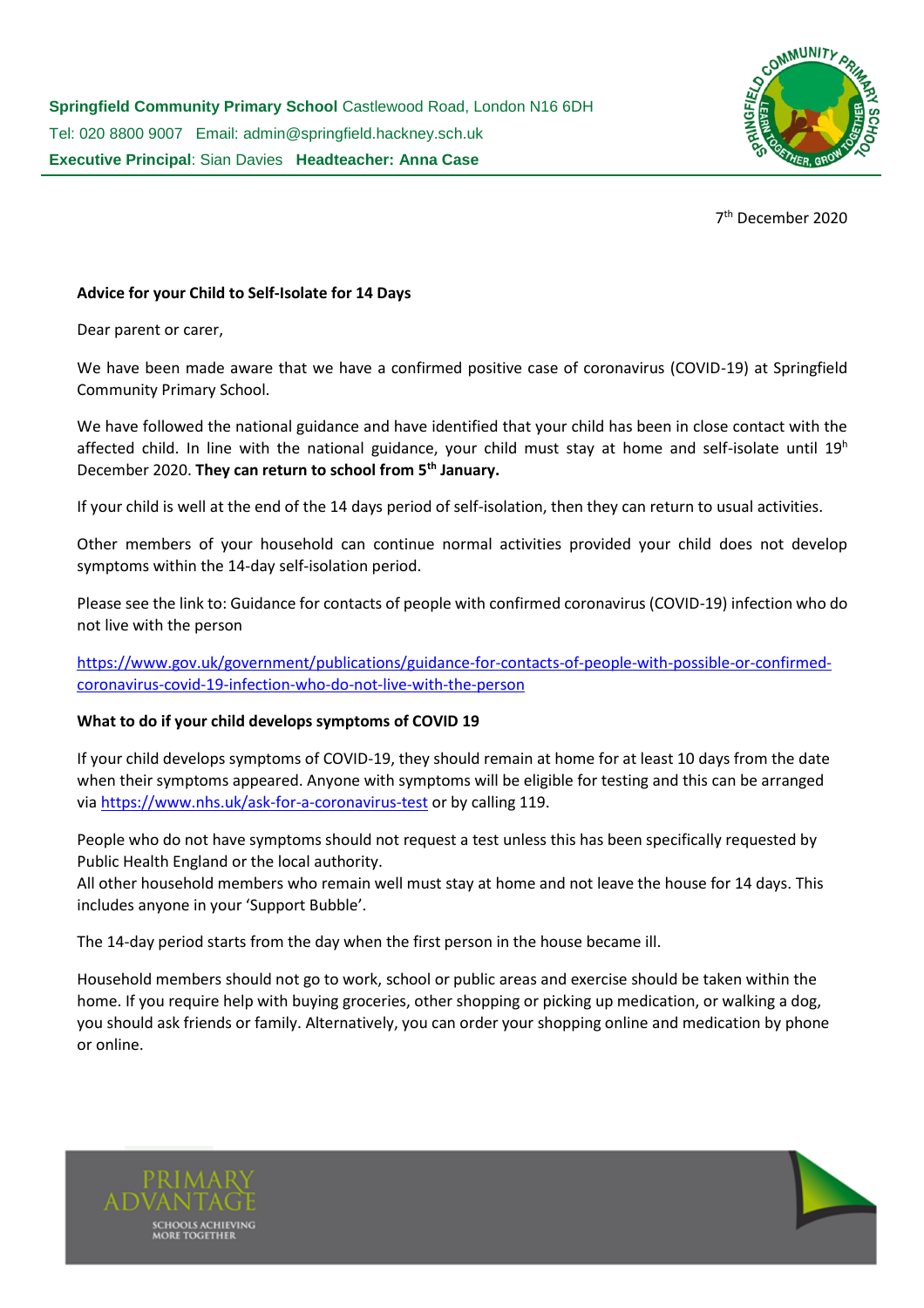

7 th December 2020

# **Advice for your Child to Self-Isolate for 14 Days**

Dear parent or carer,

We have been made aware that we have a confirmed positive case of coronavirus (COVID-19) at Springfield Community Primary School.

We have followed the national guidance and have identified that your child has been in close contact with the affected child. In line with the national guidance, your child must stay at home and self-isolate until  $19<sup>h</sup>$ December 2020. **They can return to school from 5th January.** 

If your child is well at the end of the 14 days period of self-isolation, then they can return to usual activities.

Other members of your household can continue normal activities provided your child does not develop symptoms within the 14-day self-isolation period.

Please see the link to: Guidance for contacts of people with confirmed coronavirus (COVID-19) infection who do not live with the person

[https://www.gov.uk/government/publications/guidance-for-contacts-of-people-with-possible-or-confirmed](https://www.gov.uk/government/publications/guidance-for-contacts-of-people-with-possible-or-confirmed-coronavirus-covid-19-infection-who-do-not-live-with-the-person)[coronavirus-covid-19-infection-who-do-not-live-with-the-person](https://www.gov.uk/government/publications/guidance-for-contacts-of-people-with-possible-or-confirmed-coronavirus-covid-19-infection-who-do-not-live-with-the-person)

## **What to do if your child develops symptoms of COVID 19**

If your child develops symptoms of COVID-19, they should remain at home for at least 10 days from the date when their symptoms appeared. Anyone with symptoms will be eligible for testing and this can be arranged via<https://www.nhs.uk/ask-for-a-coronavirus-test> or by calling 119.

People who do not have symptoms should not request a test unless this has been specifically requested by Public Health England or the local authority.

All other household members who remain well must stay at home and not leave the house for 14 days. This includes anyone in your 'Support Bubble'.

The 14-day period starts from the day when the first person in the house became ill.

Household members should not go to work, school or public areas and exercise should be taken within the home. If you require help with buying groceries, other shopping or picking up medication, or walking a dog, you should ask friends or family. Alternatively, you can order your shopping online and medication by phone or online.



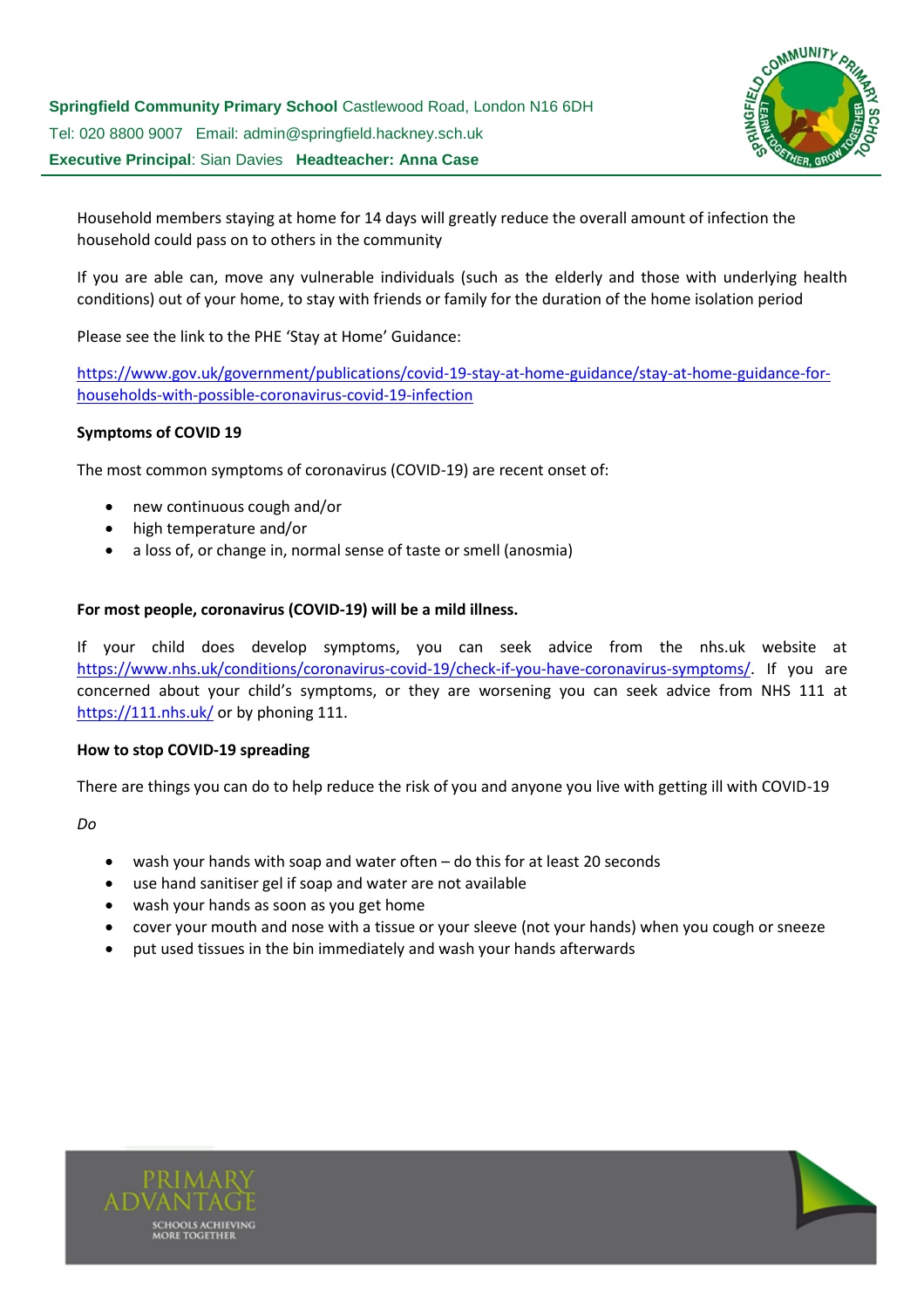

Household members staying at home for 14 days will greatly reduce the overall amount of infection the household could pass on to others in the community

If you are able can, move any vulnerable individuals (such as the elderly and those with underlying health conditions) out of your home, to stay with friends or family for the duration of the home isolation period

Please see the link to the PHE 'Stay at Home' Guidance:

[https://www.gov.uk/government/publications/covid-19-stay-at-home-guidance/stay-at-home-guidance-for](https://www.gov.uk/government/publications/covid-19-stay-at-home-guidance/stay-at-home-guidance-for-households-with-possible-coronavirus-covid-19-infection)[households-with-possible-coronavirus-covid-19-infection](https://www.gov.uk/government/publications/covid-19-stay-at-home-guidance/stay-at-home-guidance-for-households-with-possible-coronavirus-covid-19-infection)

## **Symptoms of COVID 19**

The most common symptoms of coronavirus (COVID-19) are recent onset of:

- new continuous cough and/or
- high temperature and/or
- a loss of, or change in, normal sense of taste or smell (anosmia)

#### **For most people, coronavirus (COVID-19) will be a mild illness.**

If your child does develop symptoms, you can seek advice from the nhs.uk website at [https://www.nhs.uk/conditions/coronavirus-covid-19/check-if-you-have-coronavirus-symptoms/.](https://www.nhs.uk/conditions/coronavirus-covid-19/check-if-you-have-coronavirus-symptoms/) If you are concerned about your child's symptoms, or they are worsening you can seek advice from NHS 111 at <https://111.nhs.uk/> or by phoning 111.

#### **How to stop COVID-19 spreading**

There are things you can do to help reduce the risk of you and anyone you live with getting ill with COVID-19

*Do*

- wash your hands with soap and water often do this for at least 20 seconds
- use hand sanitiser gel if soap and water are not available
- wash your hands as soon as you get home
- cover your mouth and nose with a tissue or your sleeve (not your hands) when you cough or sneeze
- put used tissues in the bin immediately and wash your hands afterwards